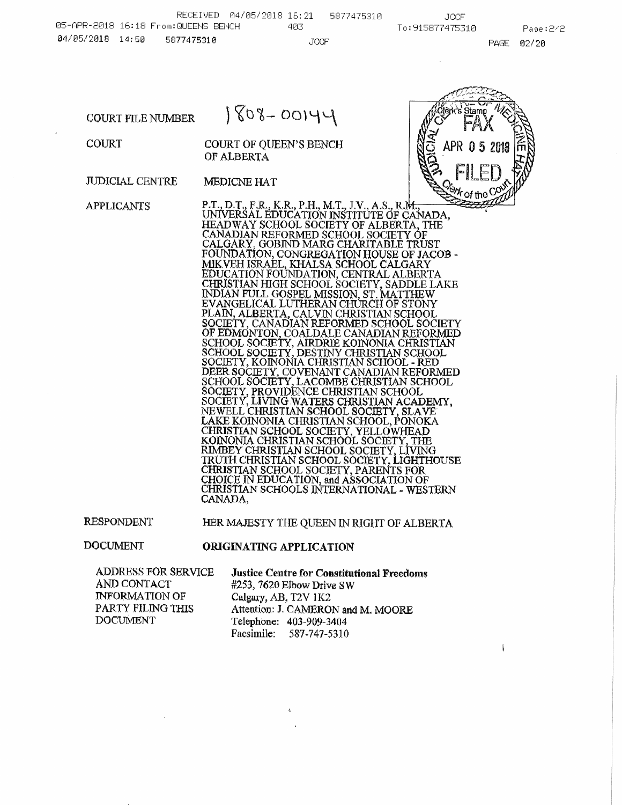**COURT FILE NUMBER** 



COURT

**COURT OF QUEEN'S BENCH** OF ALBERTA

**JUDICIAL CENTRE MEDICNE HAT** 

**APPLICANTS** 

P.T., D.T., F.R., K.R., P.H., M.T., J.V., A.S., R.M., T., UNIVERSAL EDUCATION INSTITUTE OF CANADA,<br>HEADWAY SCHOOL SOCIETY OF ALBERTA, THE CANADIAN REFORMED SCHOOL SOCIETY OF CALGARY, GOBIND MARG CHARITABLE TRUST FOUNDATION, CONGREGATION HOUSE OF JACOB -FOUNDATION, CONGREGATION HOUSE OF JACOB - MIKVEH ISRAEL, KHALSA SCHOOL CALGARY<br>EDUCATION FOUNDATION, CENTRAL ALBERTA<br>CHRISTIAN HIGH SCHOOL SOCIETY, SADDLE LAKE<br>INDIAN FULL GOSPEL MISSION, ST. MATTHEW<br>EVANGELICAL LUTHERAN C SOCIETY, ROINONIA CHRISTIAN SCHOOL - RED<br>DEER SOCIETY, COVENANT CANADIAN REFORMED<br>SCHOOL SOCIETY, LACOMBE CHRISTIAN SCHOOL<br>SOCIETY, PROVIDENCE CHRISTIAN SCHOOL<br>SOCIETY, LIVING WATERS CHRISTIAN ACADEMY,<br>NEWELL CHRISTIAN SCH LAKE KOINONIA CHRISTIAN SCHOOL, PONOKA CHRISTIAN SCHOOL SOCIETY, YELLOWHEAD<br>KOINONIA CHRISTIAN SCHOOL SOCIETY, THE<br>RIMBEY CHRISTIAN SCHOOL SOCIETY, LIVING<br>TRUTH CHRISTIAN SCHOOL SOCIETY, LIVING<br>TRUTH CHRISTIAN SCHOOL SOCIETY, LIGHTHOUSE CHRISTIAN SCHOOL SOCIETY, PARENTS FOR CHOICE IN EDUCATION, and ASSOCIATION OF CHRISTIAN SCHOOLS INTERNATIONAL - WESTERN CANADA,

**RESPONDENT** 

HER MAJESTY THE QUEEN IN RIGHT OF ALBERTA

**DOCUMENT** 

**ORIGINATING APPLICATION** 

 $\mathbf{r}$ 

**ADDRESS FOR SERVICE** AND CONTACT **INFORMATION OF** PARTY FILING THIS **DOCUMENT** 

**Justice Centre for Constitutional Freedoms** #253, 7620 Elbow Drive SW Calgary, AB, T2V 1K2 Attention: J. CAMERON and M. MOORE Telephone: 403-909-3404 Facsimile: 587-747-5310

 $\mathbf{r}$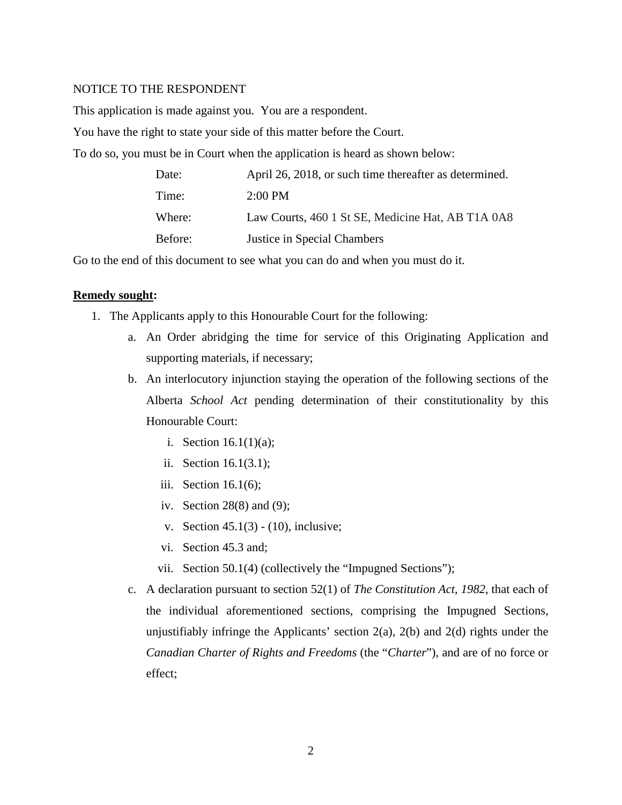## NOTICE TO THE RESPONDENT

This application is made against you. You are a respondent.

You have the right to state your side of this matter before the Court.

To do so, you must be in Court when the application is heard as shown below:

| Date:   | April 26, 2018, or such time thereafter as determined. |
|---------|--------------------------------------------------------|
| Time:   | $2:00$ PM                                              |
| Where:  | Law Courts, 460 1 St SE, Medicine Hat, AB T1A 0A8      |
| Before: | Justice in Special Chambers                            |

Go to the end of this document to see what you can do and when you must do it.

#### **Remedy sought:**

- 1. The Applicants apply to this Honourable Court for the following:
	- a. An Order abridging the time for service of this Originating Application and supporting materials, if necessary;
	- b. An interlocutory injunction staying the operation of the following sections of the Alberta *School Act* pending determination of their constitutionality by this Honourable Court:
		- i. Section 16.1(1)(a);
		- ii. Section 16.1(3.1);
		- iii. Section 16.1(6);
		- iv. Section 28(8) and (9);
		- v. Section 45.1(3) (10), inclusive;
		- vi. Section 45.3 and;
		- vii. Section 50.1(4) (collectively the "Impugned Sections");
	- c. A declaration pursuant to section 52(1) of *The Constitution Act*, *1982*, that each of the individual aforementioned sections, comprising the Impugned Sections, unjustifiably infringe the Applicants' section  $2(a)$ ,  $2(b)$  and  $2(d)$  rights under the *Canadian Charter of Rights and Freedoms* (the "*Charter*"), and are of no force or effect;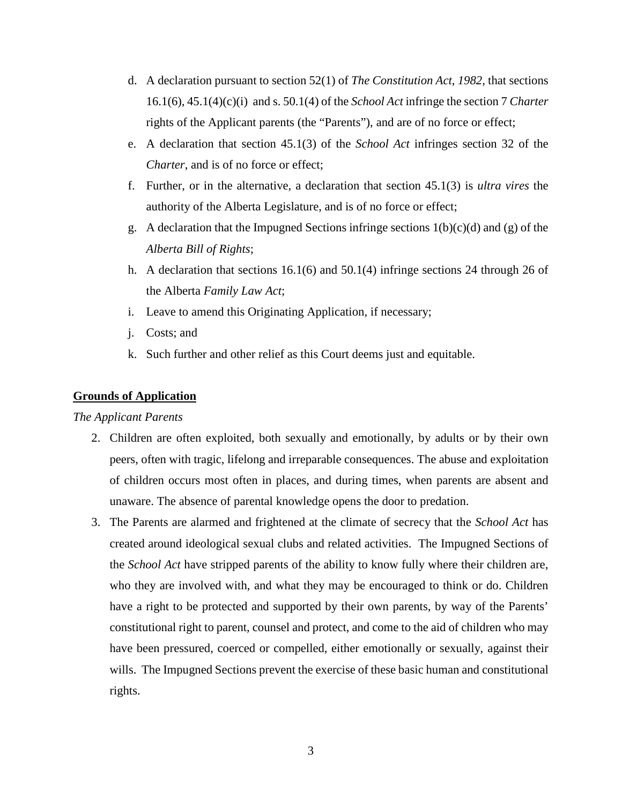- d. A declaration pursuant to section 52(1) of *The Constitution Act*, *1982*, that sections 16.1(6), 45.1(4)(c)(i) and s. 50.1(4) of the *School Act* infringe the section 7 *Charter* rights of the Applicant parents (the "Parents"), and are of no force or effect;
- e. A declaration that section 45.1(3) of the *School Act* infringes section 32 of the *Charter*, and is of no force or effect;
- f. Further, or in the alternative, a declaration that section 45.1(3) is *ultra vires* the authority of the Alberta Legislature, and is of no force or effect;
- g. A declaration that the Impugned Sections infringe sections  $1(b)(c)(d)$  and (g) of the *Alberta Bill of Rights*;
- h. A declaration that sections 16.1(6) and 50.1(4) infringe sections 24 through 26 of the Alberta *Family Law Act*;
- i. Leave to amend this Originating Application, if necessary;
- j. Costs; and
- k. Such further and other relief as this Court deems just and equitable.

## **Grounds of Application**

## *The Applicant Parents*

- 2. Children are often exploited, both sexually and emotionally, by adults or by their own peers, often with tragic, lifelong and irreparable consequences. The abuse and exploitation of children occurs most often in places, and during times, when parents are absent and unaware. The absence of parental knowledge opens the door to predation.
- 3. The Parents are alarmed and frightened at the climate of secrecy that the *School Act* has created around ideological sexual clubs and related activities. The Impugned Sections of the *School Act* have stripped parents of the ability to know fully where their children are, who they are involved with, and what they may be encouraged to think or do. Children have a right to be protected and supported by their own parents, by way of the Parents' constitutional right to parent, counsel and protect, and come to the aid of children who may have been pressured, coerced or compelled, either emotionally or sexually, against their wills. The Impugned Sections prevent the exercise of these basic human and constitutional rights.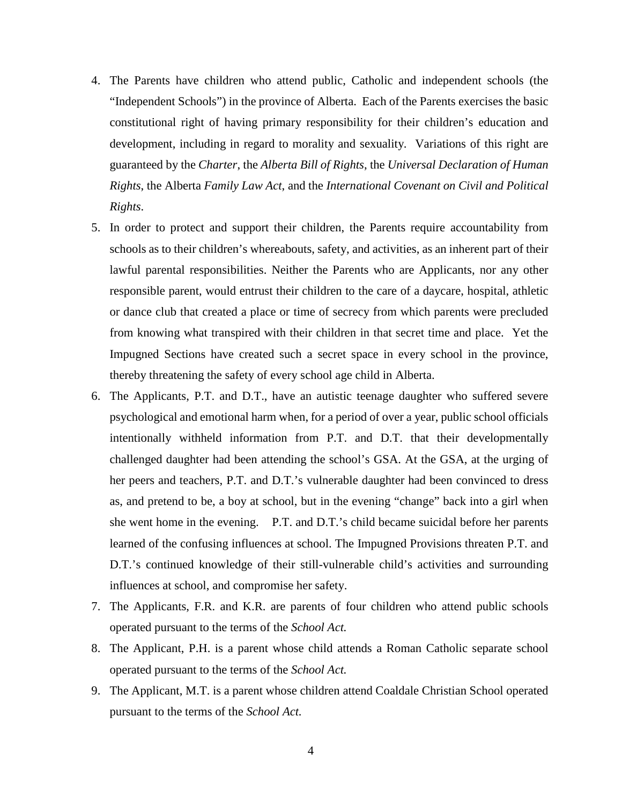- 4. The Parents have children who attend public, Catholic and independent schools (the "Independent Schools") in the province of Alberta. Each of the Parents exercises the basic constitutional right of having primary responsibility for their children's education and development, including in regard to morality and sexuality. Variations of this right are guaranteed by the *Charter*, the *Alberta Bill of Rights*, the *Universal Declaration of Human Rights*, the Alberta *Family Law Act*, and the *International Covenant on Civil and Political Rights*.
- 5. In order to protect and support their children, the Parents require accountability from schools as to their children's whereabouts, safety, and activities, as an inherent part of their lawful parental responsibilities. Neither the Parents who are Applicants, nor any other responsible parent, would entrust their children to the care of a daycare, hospital, athletic or dance club that created a place or time of secrecy from which parents were precluded from knowing what transpired with their children in that secret time and place. Yet the Impugned Sections have created such a secret space in every school in the province, thereby threatening the safety of every school age child in Alberta.
- 6. The Applicants, P.T. and D.T., have an autistic teenage daughter who suffered severe psychological and emotional harm when, for a period of over a year, public school officials intentionally withheld information from P.T. and D.T. that their developmentally challenged daughter had been attending the school's GSA. At the GSA, at the urging of her peers and teachers, P.T. and D.T.'s vulnerable daughter had been convinced to dress as, and pretend to be, a boy at school, but in the evening "change" back into a girl when she went home in the evening. P.T. and D.T.'s child became suicidal before her parents learned of the confusing influences at school. The Impugned Provisions threaten P.T. and D.T.'s continued knowledge of their still-vulnerable child's activities and surrounding influences at school, and compromise her safety.
- 7. The Applicants, F.R. and K.R. are parents of four children who attend public schools operated pursuant to the terms of the *School Act.*
- 8. The Applicant, P.H. is a parent whose child attends a Roman Catholic separate school operated pursuant to the terms of the *School Act.*
- 9. The Applicant, M.T. is a parent whose children attend Coaldale Christian School operated pursuant to the terms of the *School Act.*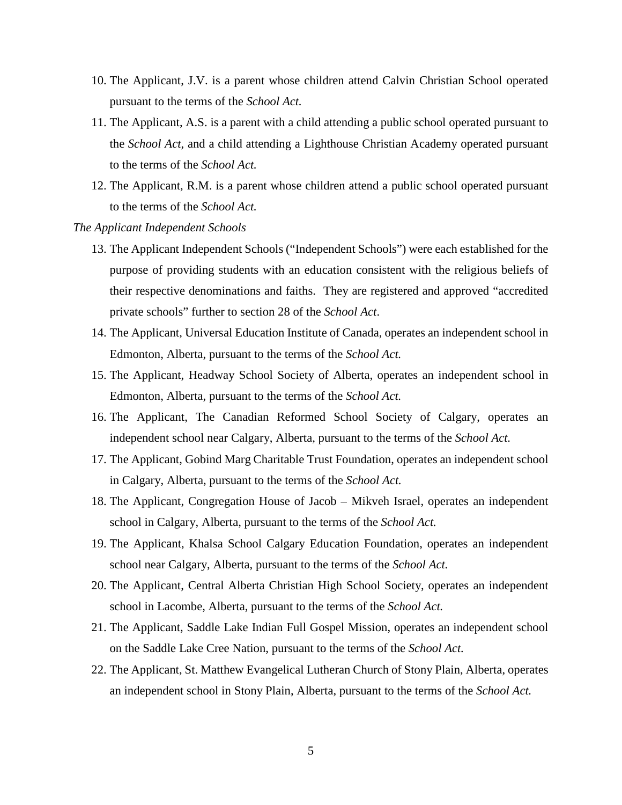- 10. The Applicant, J.V. is a parent whose children attend Calvin Christian School operated pursuant to the terms of the *School Act.*
- 11. The Applicant, A.S. is a parent with a child attending a public school operated pursuant to the *School Act*, and a child attending a Lighthouse Christian Academy operated pursuant to the terms of the *School Act.*
- 12. The Applicant, R.M. is a parent whose children attend a public school operated pursuant to the terms of the *School Act.*
- *The Applicant Independent Schools*
	- 13. The Applicant Independent Schools ("Independent Schools") were each established for the purpose of providing students with an education consistent with the religious beliefs of their respective denominations and faiths. They are registered and approved "accredited private schools" further to section 28 of the *School Act*.
	- 14. The Applicant, Universal Education Institute of Canada, operates an independent school in Edmonton, Alberta, pursuant to the terms of the *School Act.*
	- 15. The Applicant, Headway School Society of Alberta, operates an independent school in Edmonton, Alberta, pursuant to the terms of the *School Act.*
	- 16. The Applicant, The Canadian Reformed School Society of Calgary, operates an independent school near Calgary, Alberta, pursuant to the terms of the *School Act.*
	- 17. The Applicant, Gobind Marg Charitable Trust Foundation, operates an independent school in Calgary, Alberta, pursuant to the terms of the *School Act.*
	- 18. The Applicant, Congregation House of Jacob Mikveh Israel, operates an independent school in Calgary, Alberta, pursuant to the terms of the *School Act.*
	- 19. The Applicant, Khalsa School Calgary Education Foundation, operates an independent school near Calgary, Alberta, pursuant to the terms of the *School Act.*
	- 20. The Applicant, Central Alberta Christian High School Society, operates an independent school in Lacombe, Alberta, pursuant to the terms of the *School Act.*
	- 21. The Applicant, Saddle Lake Indian Full Gospel Mission, operates an independent school on the Saddle Lake Cree Nation, pursuant to the terms of the *School Act.*
	- 22. The Applicant, St. Matthew Evangelical Lutheran Church of Stony Plain, Alberta, operates an independent school in Stony Plain, Alberta, pursuant to the terms of the *School Act.*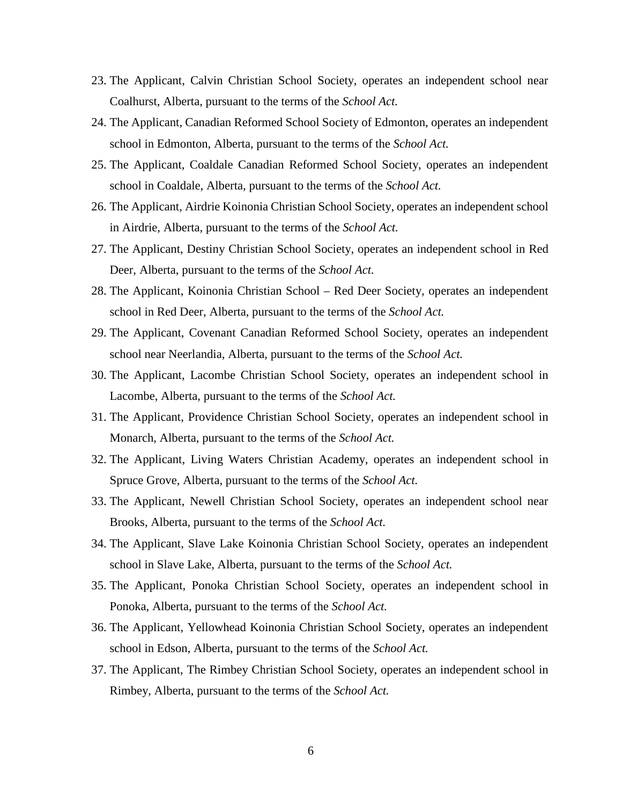- 23. The Applicant, Calvin Christian School Society, operates an independent school near Coalhurst, Alberta, pursuant to the terms of the *School Act.*
- 24. The Applicant, Canadian Reformed School Society of Edmonton, operates an independent school in Edmonton, Alberta, pursuant to the terms of the *School Act.*
- 25. The Applicant, Coaldale Canadian Reformed School Society, operates an independent school in Coaldale, Alberta, pursuant to the terms of the *School Act.*
- 26. The Applicant, Airdrie Koinonia Christian School Society, operates an independent school in Airdrie, Alberta, pursuant to the terms of the *School Act.*
- 27. The Applicant, Destiny Christian School Society, operates an independent school in Red Deer, Alberta, pursuant to the terms of the *School Act.*
- 28. The Applicant, Koinonia Christian School Red Deer Society, operates an independent school in Red Deer, Alberta, pursuant to the terms of the *School Act.*
- 29. The Applicant, Covenant Canadian Reformed School Society, operates an independent school near Neerlandia, Alberta, pursuant to the terms of the *School Act.*
- 30. The Applicant, Lacombe Christian School Society, operates an independent school in Lacombe, Alberta, pursuant to the terms of the *School Act.*
- 31. The Applicant, Providence Christian School Society, operates an independent school in Monarch, Alberta, pursuant to the terms of the *School Act.*
- 32. The Applicant, Living Waters Christian Academy, operates an independent school in Spruce Grove, Alberta, pursuant to the terms of the *School Act.*
- 33. The Applicant, Newell Christian School Society, operates an independent school near Brooks, Alberta, pursuant to the terms of the *School Act.*
- 34. The Applicant, Slave Lake Koinonia Christian School Society, operates an independent school in Slave Lake, Alberta, pursuant to the terms of the *School Act.*
- 35. The Applicant, Ponoka Christian School Society, operates an independent school in Ponoka, Alberta, pursuant to the terms of the *School Act.*
- 36. The Applicant, Yellowhead Koinonia Christian School Society, operates an independent school in Edson, Alberta, pursuant to the terms of the *School Act.*
- 37. The Applicant, The Rimbey Christian School Society, operates an independent school in Rimbey, Alberta, pursuant to the terms of the *School Act.*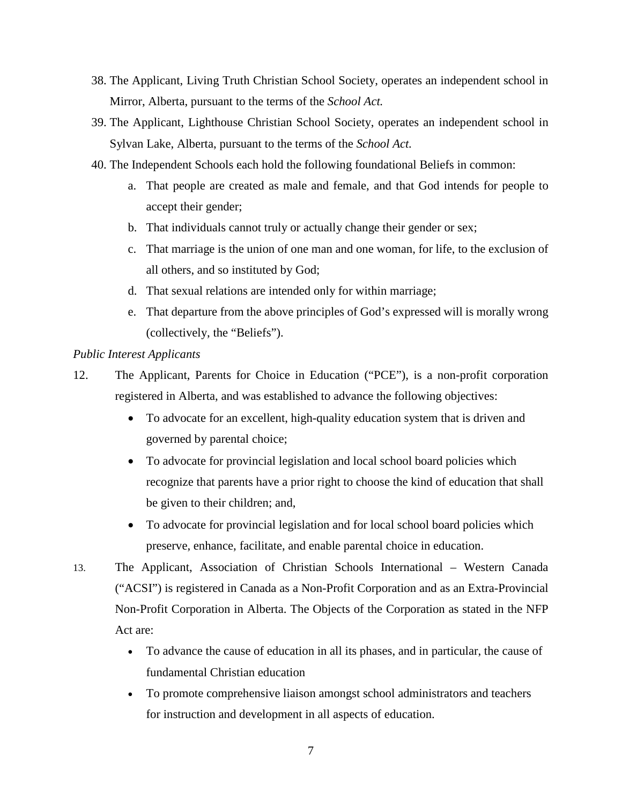- 38. The Applicant, Living Truth Christian School Society, operates an independent school in Mirror, Alberta, pursuant to the terms of the *School Act.*
- 39. The Applicant, Lighthouse Christian School Society, operates an independent school in Sylvan Lake, Alberta, pursuant to the terms of the *School Act.*
- 40. The Independent Schools each hold the following foundational Beliefs in common:
	- a. That people are created as male and female, and that God intends for people to accept their gender;
	- b. That individuals cannot truly or actually change their gender or sex;
	- c. That marriage is the union of one man and one woman, for life, to the exclusion of all others, and so instituted by God;
	- d. That sexual relations are intended only for within marriage;
	- e. That departure from the above principles of God's expressed will is morally wrong (collectively, the "Beliefs").

# *Public Interest Applicants*

- 12. The Applicant, Parents for Choice in Education ("PCE"), is a non-profit corporation registered in Alberta, and was established to advance the following objectives:
	- To advocate for an excellent, high-quality education system that is driven and governed by parental choice;
	- To advocate for provincial legislation and local school board policies which recognize that parents have a prior right to choose the kind of education that shall be given to their children; and,
	- To advocate for provincial legislation and for local school board policies which preserve, enhance, facilitate, and enable parental choice in education.
- 13. The Applicant, Association of Christian Schools International Western Canada ("ACSI") is registered in Canada as a Non-Profit Corporation and as an Extra-Provincial Non-Profit Corporation in Alberta. The Objects of the Corporation as stated in the NFP Act are:
	- To advance the cause of education in all its phases, and in particular, the cause of fundamental Christian education
	- To promote comprehensive liaison amongst school administrators and teachers for instruction and development in all aspects of education.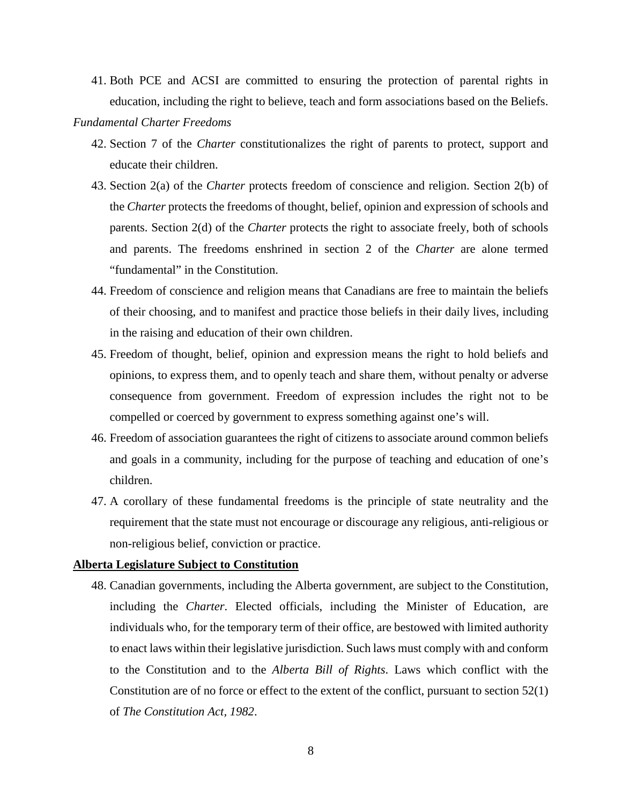41. Both PCE and ACSI are committed to ensuring the protection of parental rights in education, including the right to believe, teach and form associations based on the Beliefs.

## *Fundamental Charter Freedoms*

- 42. Section 7 of the *Charter* constitutionalizes the right of parents to protect, support and educate their children.
- 43. Section 2(a) of the *Charter* protects freedom of conscience and religion. Section 2(b) of the *Charter* protects the freedoms of thought, belief, opinion and expression of schools and parents. Section 2(d) of the *Charter* protects the right to associate freely, both of schools and parents. The freedoms enshrined in section 2 of the *Charter* are alone termed "fundamental" in the Constitution.
- 44. Freedom of conscience and religion means that Canadians are free to maintain the beliefs of their choosing, and to manifest and practice those beliefs in their daily lives, including in the raising and education of their own children.
- 45. Freedom of thought, belief, opinion and expression means the right to hold beliefs and opinions, to express them, and to openly teach and share them, without penalty or adverse consequence from government. Freedom of expression includes the right not to be compelled or coerced by government to express something against one's will.
- 46. Freedom of association guarantees the right of citizens to associate around common beliefs and goals in a community, including for the purpose of teaching and education of one's children.
- 47. A corollary of these fundamental freedoms is the principle of state neutrality and the requirement that the state must not encourage or discourage any religious, anti-religious or non-religious belief, conviction or practice.

# **Alberta Legislature Subject to Constitution**

48. Canadian governments, including the Alberta government, are subject to the Constitution, including the *Charter*. Elected officials, including the Minister of Education, are individuals who, for the temporary term of their office, are bestowed with limited authority to enact laws within their legislative jurisdiction. Such laws must comply with and conform to the Constitution and to the *Alberta Bill of Rights*. Laws which conflict with the Constitution are of no force or effect to the extent of the conflict, pursuant to section 52(1) of *The Constitution Act, 1982*.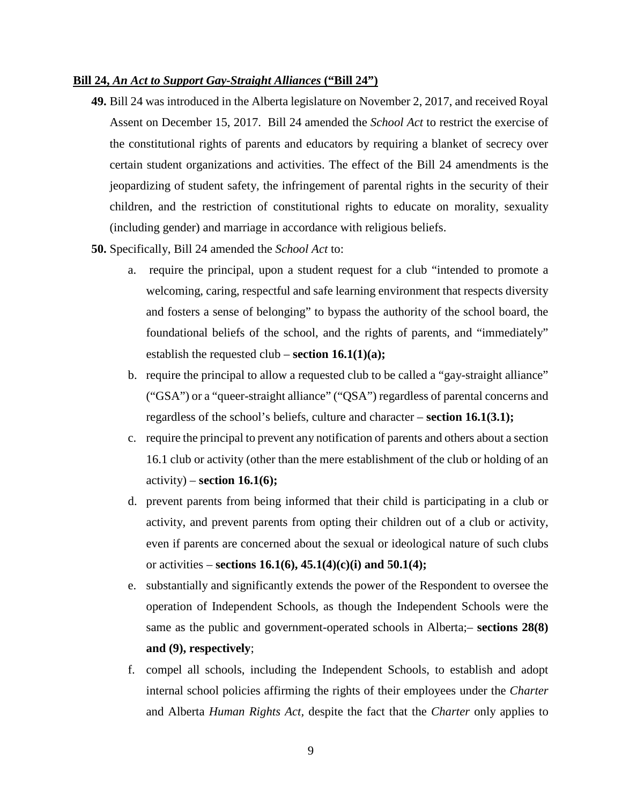## **Bill 24,** *An Act to Support Gay-Straight Alliances* **("Bill 24")**

- **49.** Bill 24 was introduced in the Alberta legislature on November 2, 2017, and received Royal Assent on December 15, 2017. Bill 24 amended the *School Act* to restrict the exercise of the constitutional rights of parents and educators by requiring a blanket of secrecy over certain student organizations and activities. The effect of the Bill 24 amendments is the jeopardizing of student safety, the infringement of parental rights in the security of their children, and the restriction of constitutional rights to educate on morality, sexuality (including gender) and marriage in accordance with religious beliefs.
- **50.** Specifically, Bill 24 amended the *School Act* to:
	- a. require the principal, upon a student request for a club "intended to promote a welcoming, caring, respectful and safe learning environment that respects diversity and fosters a sense of belonging" to bypass the authority of the school board, the foundational beliefs of the school, and the rights of parents, and "immediately" establish the requested club – **section 16.1(1)(a);**
	- b. require the principal to allow a requested club to be called a "gay-straight alliance" ("GSA") or a "queer-straight alliance" ("QSA") regardless of parental concerns and regardless of the school's beliefs, culture and character – **section 16.1(3.1);**
	- c. require the principal to prevent any notification of parents and others about a section 16.1 club or activity (other than the mere establishment of the club or holding of an activity) – **section 16.1(6);**
	- d. prevent parents from being informed that their child is participating in a club or activity, and prevent parents from opting their children out of a club or activity, even if parents are concerned about the sexual or ideological nature of such clubs or activities – **sections 16.1(6), 45.1(4)(c)(i) and 50.1(4);**
	- e. substantially and significantly extends the power of the Respondent to oversee the operation of Independent Schools, as though the Independent Schools were the same as the public and government-operated schools in Alberta;– **sections 28(8) and (9), respectively**;
	- f. compel all schools, including the Independent Schools, to establish and adopt internal school policies affirming the rights of their employees under the *Charter* and Alberta *Human Rights Act,* despite the fact that the *Charter* only applies to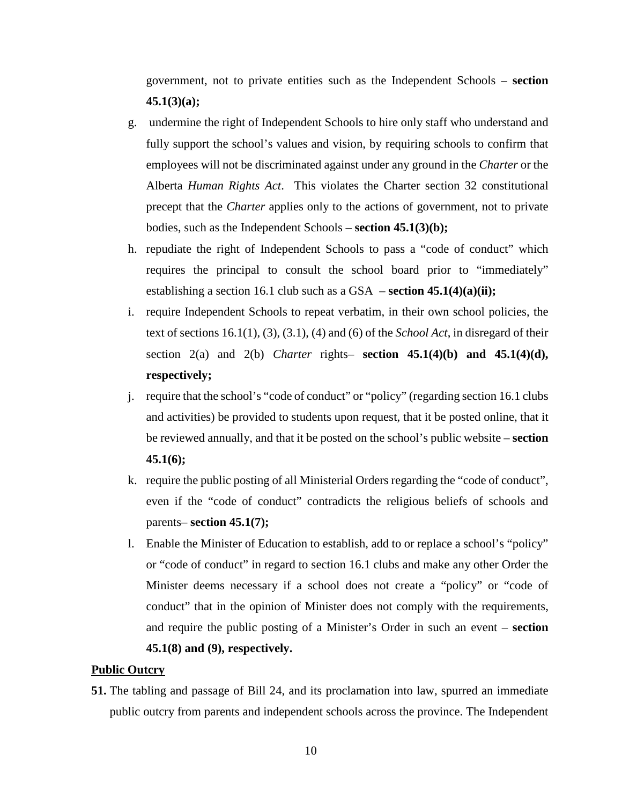government, not to private entities such as the Independent Schools – **section 45.1(3)(a);** 

- g. undermine the right of Independent Schools to hire only staff who understand and fully support the school's values and vision, by requiring schools to confirm that employees will not be discriminated against under any ground in the *Charter* or the Alberta *Human Rights Act*. This violates the Charter section 32 constitutional precept that the *Charter* applies only to the actions of government, not to private bodies, such as the Independent Schools – **section 45.1(3)(b);**
- h. repudiate the right of Independent Schools to pass a "code of conduct" which requires the principal to consult the school board prior to "immediately" establishing a section 16.1 club such as a GSA – **section 45.1(4)(a)(ii);**
- i. require Independent Schools to repeat verbatim, in their own school policies, the text of sections 16.1(1), (3), (3.1), (4) and (6) of the *School Act*, in disregard of their section  $2(a)$  and  $2(b)$  *Charter* rights– **section 45.1(4)(b) and 45.1(4)(d), respectively;**
- j. require that the school's "code of conduct" or "policy" (regarding section 16.1 clubs and activities) be provided to students upon request, that it be posted online, that it be reviewed annually, and that it be posted on the school's public website – **section 45.1(6);**
- k. require the public posting of all Ministerial Orders regarding the "code of conduct", even if the "code of conduct" contradicts the religious beliefs of schools and parents– **section 45.1(7);**
- l. Enable the Minister of Education to establish, add to or replace a school's "policy" or "code of conduct" in regard to section 16.1 clubs and make any other Order the Minister deems necessary if a school does not create a "policy" or "code of conduct" that in the opinion of Minister does not comply with the requirements, and require the public posting of a Minister's Order in such an event – **section 45.1(8) and (9), respectively.**

## **Public Outcry**

**51.** The tabling and passage of Bill 24, and its proclamation into law, spurred an immediate public outcry from parents and independent schools across the province. The Independent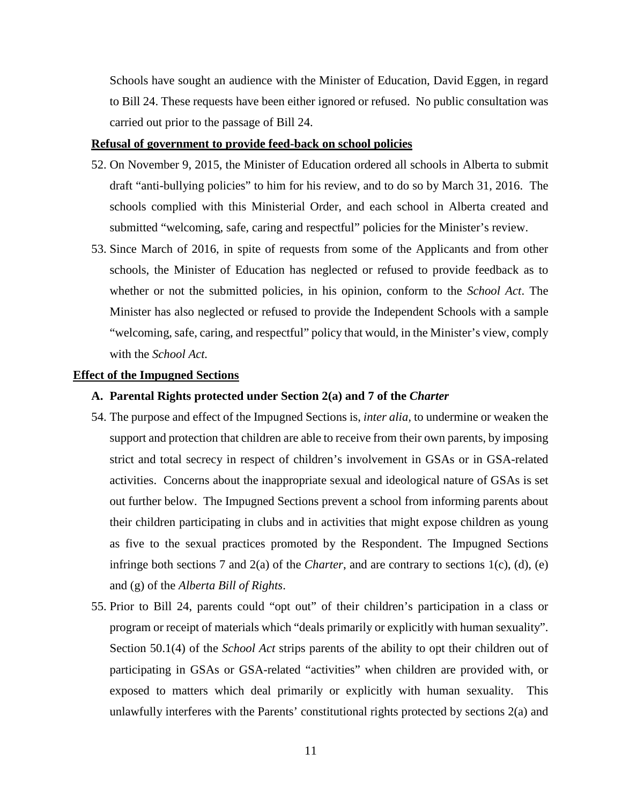Schools have sought an audience with the Minister of Education, David Eggen, in regard to Bill 24. These requests have been either ignored or refused. No public consultation was carried out prior to the passage of Bill 24.

## **Refusal of government to provide feed-back on school policies**

- 52. On November 9, 2015, the Minister of Education ordered all schools in Alberta to submit draft "anti-bullying policies" to him for his review, and to do so by March 31, 2016. The schools complied with this Ministerial Order, and each school in Alberta created and submitted "welcoming, safe, caring and respectful" policies for the Minister's review.
- 53. Since March of 2016, in spite of requests from some of the Applicants and from other schools, the Minister of Education has neglected or refused to provide feedback as to whether or not the submitted policies, in his opinion, conform to the *School Act*. The Minister has also neglected or refused to provide the Independent Schools with a sample "welcoming, safe, caring, and respectful" policy that would, in the Minister's view, comply with the *School Act.*

## **Effect of the Impugned Sections**

#### **A. Parental Rights protected under Section 2(a) and 7 of the** *Charter*

- 54. The purpose and effect of the Impugned Sections is, *inter alia,* to undermine or weaken the support and protection that children are able to receive from their own parents, by imposing strict and total secrecy in respect of children's involvement in GSAs or in GSA-related activities. Concerns about the inappropriate sexual and ideological nature of GSAs is set out further below. The Impugned Sections prevent a school from informing parents about their children participating in clubs and in activities that might expose children as young as five to the sexual practices promoted by the Respondent. The Impugned Sections infringe both sections 7 and 2(a) of the *Charter*, and are contrary to sections 1(c), (d), (e) and (g) of the *Alberta Bill of Rights*.
- 55. Prior to Bill 24, parents could "opt out" of their children's participation in a class or program or receipt of materials which "deals primarily or explicitly with human sexuality". Section 50.1(4) of the *School Act* strips parents of the ability to opt their children out of participating in GSAs or GSA-related "activities" when children are provided with, or exposed to matters which deal primarily or explicitly with human sexuality. This unlawfully interferes with the Parents' constitutional rights protected by sections 2(a) and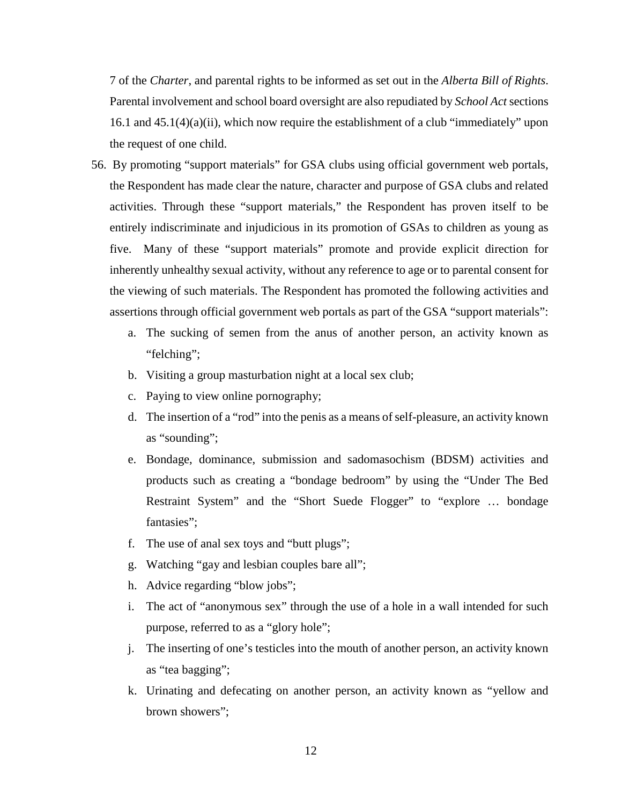7 of the *Charter*, and parental rights to be informed as set out in the *Alberta Bill of Rights*. Parental involvement and school board oversight are also repudiated by *School Act* sections 16.1 and 45.1(4)(a)(ii), which now require the establishment of a club "immediately" upon the request of one child.

- 56. By promoting "support materials" for GSA clubs using official government web portals, the Respondent has made clear the nature, character and purpose of GSA clubs and related activities. Through these "support materials," the Respondent has proven itself to be entirely indiscriminate and injudicious in its promotion of GSAs to children as young as five. Many of these "support materials" promote and provide explicit direction for inherently unhealthy sexual activity, without any reference to age or to parental consent for the viewing of such materials. The Respondent has promoted the following activities and assertions through official government web portals as part of the GSA "support materials":
	- a. The sucking of semen from the anus of another person, an activity known as "felching";
	- b. Visiting a group masturbation night at a local sex club;
	- c. Paying to view online pornography;
	- d. The insertion of a "rod" into the penis as a means of self-pleasure, an activity known as "sounding";
	- e. Bondage, dominance, submission and sadomasochism (BDSM) activities and products such as creating a "bondage bedroom" by using the "Under The Bed Restraint System" and the "Short Suede Flogger" to "explore … bondage fantasies":
	- f. The use of anal sex toys and "butt plugs";
	- g. Watching "gay and lesbian couples bare all";
	- h. Advice regarding "blow jobs";
	- i. The act of "anonymous sex" through the use of a hole in a wall intended for such purpose, referred to as a "glory hole";
	- j. The inserting of one's testicles into the mouth of another person, an activity known as "tea bagging";
	- k. Urinating and defecating on another person, an activity known as "yellow and brown showers";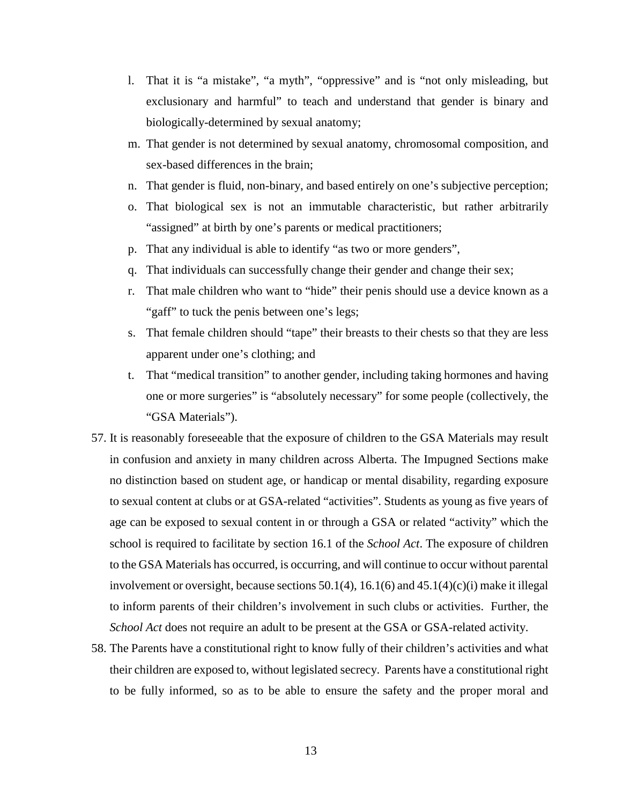- l. That it is "a mistake", "a myth", "oppressive" and is "not only misleading, but exclusionary and harmful" to teach and understand that gender is binary and biologically-determined by sexual anatomy;
- m. That gender is not determined by sexual anatomy, chromosomal composition, and sex-based differences in the brain;
- n. That gender is fluid, non-binary, and based entirely on one's subjective perception;
- o. That biological sex is not an immutable characteristic, but rather arbitrarily "assigned" at birth by one's parents or medical practitioners;
- p. That any individual is able to identify "as two or more genders",
- q. That individuals can successfully change their gender and change their sex;
- r. That male children who want to "hide" their penis should use a device known as a "gaff" to tuck the penis between one's legs;
- s. That female children should "tape" their breasts to their chests so that they are less apparent under one's clothing; and
- t. That "medical transition" to another gender, including taking hormones and having one or more surgeries" is "absolutely necessary" for some people (collectively, the "GSA Materials").
- 57. It is reasonably foreseeable that the exposure of children to the GSA Materials may result in confusion and anxiety in many children across Alberta. The Impugned Sections make no distinction based on student age, or handicap or mental disability, regarding exposure to sexual content at clubs or at GSA-related "activities". Students as young as five years of age can be exposed to sexual content in or through a GSA or related "activity" which the school is required to facilitate by section 16.1 of the *School Act*. The exposure of children to the GSA Materials has occurred, is occurring, and will continue to occur without parental involvement or oversight, because sections  $50.1(4)$ ,  $16.1(6)$  and  $45.1(4)(c)(i)$  make it illegal to inform parents of their children's involvement in such clubs or activities. Further, the *School Act* does not require an adult to be present at the GSA or GSA-related activity.
- 58. The Parents have a constitutional right to know fully of their children's activities and what their children are exposed to, without legislated secrecy. Parents have a constitutional right to be fully informed, so as to be able to ensure the safety and the proper moral and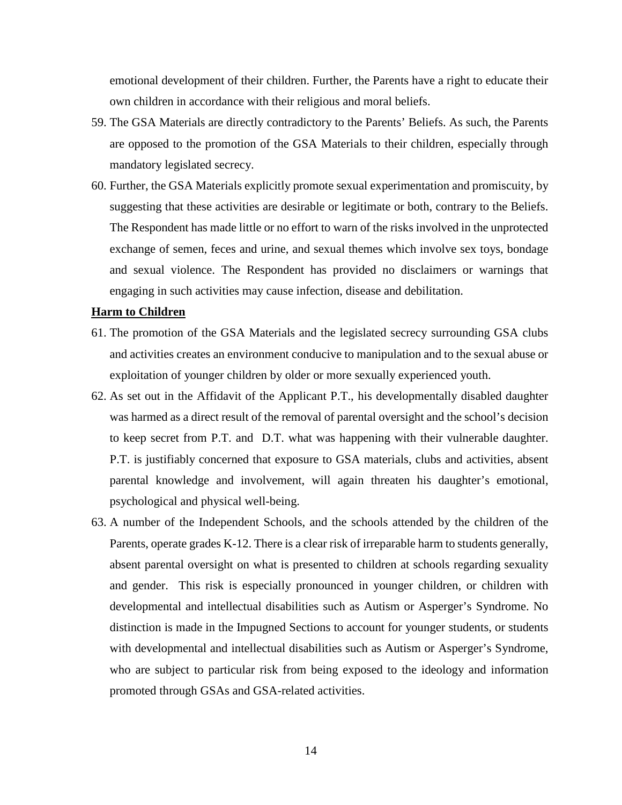emotional development of their children. Further, the Parents have a right to educate their own children in accordance with their religious and moral beliefs.

- 59. The GSA Materials are directly contradictory to the Parents' Beliefs. As such, the Parents are opposed to the promotion of the GSA Materials to their children, especially through mandatory legislated secrecy.
- 60. Further, the GSA Materials explicitly promote sexual experimentation and promiscuity, by suggesting that these activities are desirable or legitimate or both, contrary to the Beliefs. The Respondent has made little or no effort to warn of the risks involved in the unprotected exchange of semen, feces and urine, and sexual themes which involve sex toys, bondage and sexual violence. The Respondent has provided no disclaimers or warnings that engaging in such activities may cause infection, disease and debilitation.

#### **Harm to Children**

- 61. The promotion of the GSA Materials and the legislated secrecy surrounding GSA clubs and activities creates an environment conducive to manipulation and to the sexual abuse or exploitation of younger children by older or more sexually experienced youth.
- 62. As set out in the Affidavit of the Applicant P.T., his developmentally disabled daughter was harmed as a direct result of the removal of parental oversight and the school's decision to keep secret from P.T. and D.T. what was happening with their vulnerable daughter. P.T. is justifiably concerned that exposure to GSA materials, clubs and activities, absent parental knowledge and involvement, will again threaten his daughter's emotional, psychological and physical well-being.
- 63. A number of the Independent Schools, and the schools attended by the children of the Parents, operate grades K-12. There is a clear risk of irreparable harm to students generally, absent parental oversight on what is presented to children at schools regarding sexuality and gender. This risk is especially pronounced in younger children, or children with developmental and intellectual disabilities such as Autism or Asperger's Syndrome. No distinction is made in the Impugned Sections to account for younger students, or students with developmental and intellectual disabilities such as Autism or Asperger's Syndrome, who are subject to particular risk from being exposed to the ideology and information promoted through GSAs and GSA-related activities.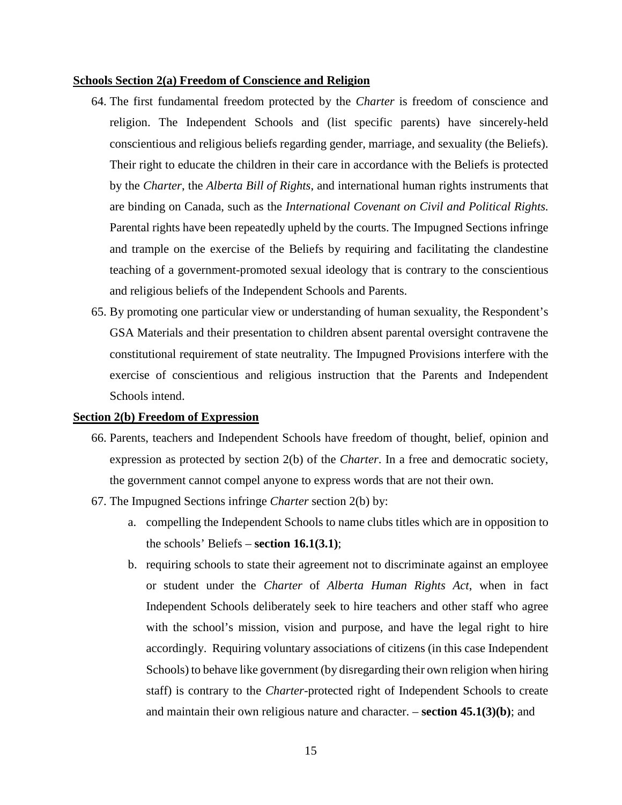#### **Schools Section 2(a) Freedom of Conscience and Religion**

- 64. The first fundamental freedom protected by the *Charter* is freedom of conscience and religion. The Independent Schools and (list specific parents) have sincerely-held conscientious and religious beliefs regarding gender, marriage, and sexuality (the Beliefs). Their right to educate the children in their care in accordance with the Beliefs is protected by the *Charter*, the *Alberta Bill of Rights*, and international human rights instruments that are binding on Canada, such as the *International Covenant on Civil and Political Rights.* Parental rights have been repeatedly upheld by the courts. The Impugned Sections infringe and trample on the exercise of the Beliefs by requiring and facilitating the clandestine teaching of a government-promoted sexual ideology that is contrary to the conscientious and religious beliefs of the Independent Schools and Parents.
- 65. By promoting one particular view or understanding of human sexuality, the Respondent's GSA Materials and their presentation to children absent parental oversight contravene the constitutional requirement of state neutrality. The Impugned Provisions interfere with the exercise of conscientious and religious instruction that the Parents and Independent Schools intend.

#### **Section 2(b) Freedom of Expression**

- 66. Parents, teachers and Independent Schools have freedom of thought, belief, opinion and expression as protected by section 2(b) of the *Charter*. In a free and democratic society, the government cannot compel anyone to express words that are not their own.
- 67. The Impugned Sections infringe *Charter* section 2(b) by:
	- a. compelling the Independent Schools to name clubs titles which are in opposition to the schools' Beliefs – **section 16.1(3.1)**;
	- b. requiring schools to state their agreement not to discriminate against an employee or student under the *Charter* of *Alberta Human Rights Act*, when in fact Independent Schools deliberately seek to hire teachers and other staff who agree with the school's mission, vision and purpose, and have the legal right to hire accordingly. Requiring voluntary associations of citizens (in this case Independent Schools) to behave like government (by disregarding their own religion when hiring staff) is contrary to the *Charter*-protected right of Independent Schools to create and maintain their own religious nature and character. – **section 45.1(3)(b)**; and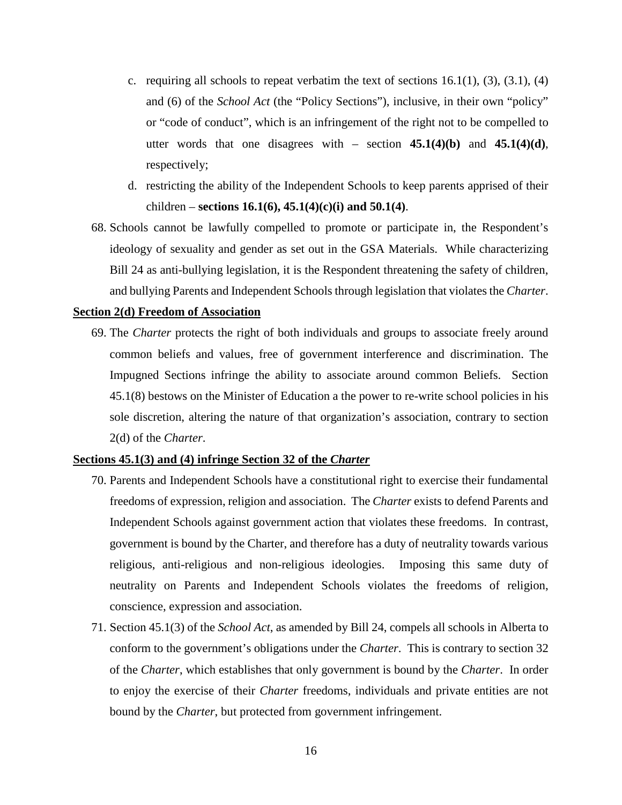- c. requiring all schools to repeat verbatim the text of sections  $16.1(1)$ ,  $(3)$ ,  $(3.1)$ ,  $(4)$ and (6) of the *School Act* (the "Policy Sections"), inclusive, in their own "policy" or "code of conduct", which is an infringement of the right not to be compelled to utter words that one disagrees with – section  $45.1(4)(b)$  and  $45.1(4)(d)$ , respectively;
- d. restricting the ability of the Independent Schools to keep parents apprised of their children – **sections 16.1(6), 45.1(4)(c)(i) and 50.1(4)**.
- 68. Schools cannot be lawfully compelled to promote or participate in, the Respondent's ideology of sexuality and gender as set out in the GSA Materials. While characterizing Bill 24 as anti-bullying legislation, it is the Respondent threatening the safety of children, and bullying Parents and Independent Schools through legislation that violates the *Charter*.

#### **Section 2(d) Freedom of Association**

69. The *Charter* protects the right of both individuals and groups to associate freely around common beliefs and values, free of government interference and discrimination. The Impugned Sections infringe the ability to associate around common Beliefs. Section 45.1(8) bestows on the Minister of Education a the power to re-write school policies in his sole discretion, altering the nature of that organization's association, contrary to section 2(d) of the *Charter*.

#### **Sections 45.1(3) and (4) infringe Section 32 of the** *Charter*

- 70. Parents and Independent Schools have a constitutional right to exercise their fundamental freedoms of expression, religion and association. The *Charter* exists to defend Parents and Independent Schools against government action that violates these freedoms. In contrast, government is bound by the Charter, and therefore has a duty of neutrality towards various religious, anti-religious and non-religious ideologies. Imposing this same duty of neutrality on Parents and Independent Schools violates the freedoms of religion, conscience, expression and association.
- 71. Section 45.1(3) of the *School Act*, as amended by Bill 24, compels all schools in Alberta to conform to the government's obligations under the *Charter*. This is contrary to section 32 of the *Charter*, which establishes that only government is bound by the *Charter*. In order to enjoy the exercise of their *Charter* freedoms, individuals and private entities are not bound by the *Charter*, but protected from government infringement.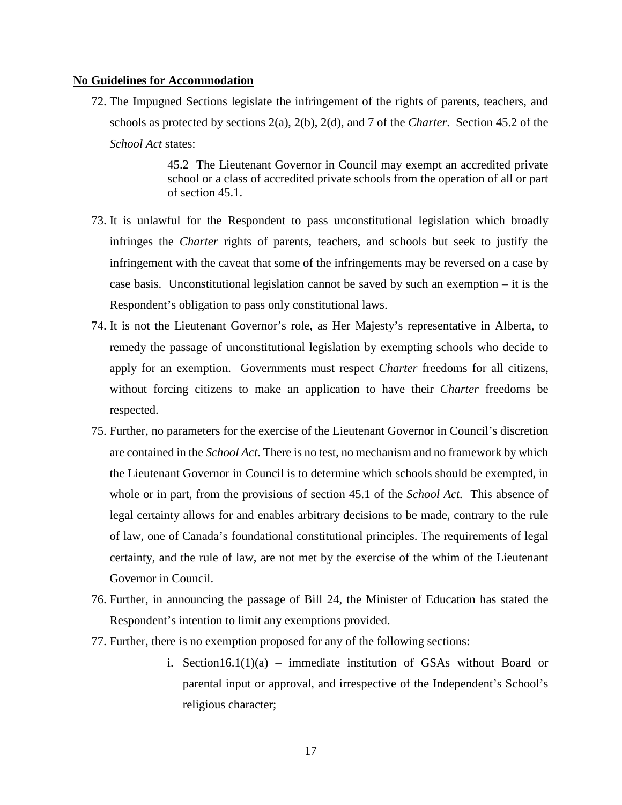#### **No Guidelines for Accommodation**

72. The Impugned Sections legislate the infringement of the rights of parents, teachers, and schools as protected by sections 2(a), 2(b), 2(d), and 7 of the *Charter*. Section 45.2 of the *School Act* states:

> 45.2 The Lieutenant Governor in Council may exempt an accredited private school or a class of accredited private schools from the operation of all or part of section 45.1.

- 73. It is unlawful for the Respondent to pass unconstitutional legislation which broadly infringes the *Charter* rights of parents, teachers, and schools but seek to justify the infringement with the caveat that some of the infringements may be reversed on a case by case basis. Unconstitutional legislation cannot be saved by such an exemption – it is the Respondent's obligation to pass only constitutional laws.
- 74. It is not the Lieutenant Governor's role, as Her Majesty's representative in Alberta, to remedy the passage of unconstitutional legislation by exempting schools who decide to apply for an exemption. Governments must respect *Charter* freedoms for all citizens, without forcing citizens to make an application to have their *Charter* freedoms be respected.
- 75. Further, no parameters for the exercise of the Lieutenant Governor in Council's discretion are contained in the *School Act*. There is no test, no mechanism and no framework by which the Lieutenant Governor in Council is to determine which schools should be exempted, in whole or in part, from the provisions of section 45.1 of the *School Act.* This absence of legal certainty allows for and enables arbitrary decisions to be made, contrary to the rule of law, one of Canada's foundational constitutional principles. The requirements of legal certainty, and the rule of law, are not met by the exercise of the whim of the Lieutenant Governor in Council.
- 76. Further, in announcing the passage of Bill 24, the Minister of Education has stated the Respondent's intention to limit any exemptions provided.
- 77. Further, there is no exemption proposed for any of the following sections:
	- i. Section16.1(1)(a) immediate institution of GSAs without Board or parental input or approval, and irrespective of the Independent's School's religious character;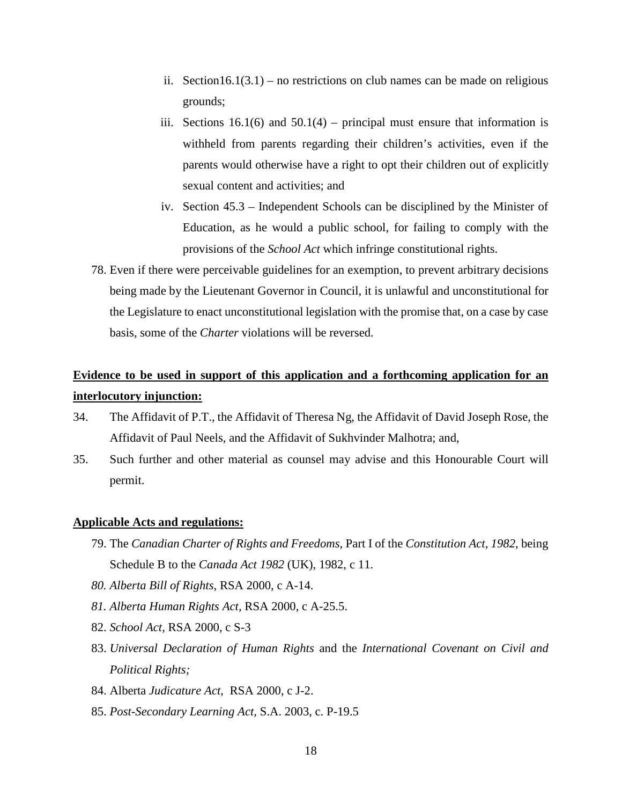- ii. Section16.1(3.1) no restrictions on club names can be made on religious grounds;
- iii. Sections  $16.1(6)$  and  $50.1(4)$  principal must ensure that information is withheld from parents regarding their children's activities, even if the parents would otherwise have a right to opt their children out of explicitly sexual content and activities; and
- iv. Section 45.3 Independent Schools can be disciplined by the Minister of Education, as he would a public school, for failing to comply with the provisions of the *School Act* which infringe constitutional rights.
- 78. Even if there were perceivable guidelines for an exemption, to prevent arbitrary decisions being made by the Lieutenant Governor in Council, it is unlawful and unconstitutional for the Legislature to enact unconstitutional legislation with the promise that, on a case by case basis, some of the *Charter* violations will be reversed.

# **Evidence to be used in support of this application and a forthcoming application for an interlocutory injunction:**

- 34. The Affidavit of P.T., the Affidavit of Theresa Ng, the Affidavit of David Joseph Rose, the Affidavit of Paul Neels, and the Affidavit of Sukhvinder Malhotra; and,
- 35. Such further and other material as counsel may advise and this Honourable Court will permit.

## **Applicable Acts and regulations:**

- 79. The *Canadian Charter of Rights and Freedoms*, Part I of the *Constitution Act, 1982*, being Schedule B to the *Canada Act 1982* (UK), 1982, c 11.
- *80. Alberta Bill of Rights,* RSA 2000, c A-14.
- *81. Alberta Human Rights Act,* RSA 2000, c A-25.5.
- 82. *School Act*, RSA 2000, c S-3
- 83. *Universal Declaration of Human Rights* and the *International Covenant on Civil and Political Rights;*
- 84. Alberta *Judicature Act*, RSA 2000, c J-2.
- 85. *Post-Secondary Learning Act,* S.A. 2003, c. P-19.5